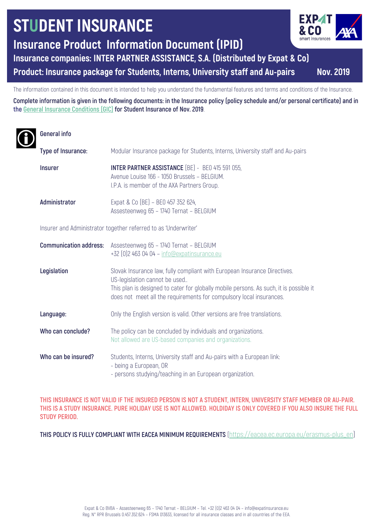# **STUDENT INSURANCE**

**Insurance Product Information Document (IPID)**

**Insurance companies: INTER PARTNER ASSISTANCE, S.A. (Distributed by Expat & Co)**

**Product: Insurance package for Students, Interns, University staff and Au-pairs Nov. 2019**

The information contained in this document is intended to help you understand the fundamental features and terms and conditions of the Insurance.

**Complete information is given in the following documents: in the Insurance policy (policy schedule and/or personal certificate) and in the General Insurance Conditions (GIC) for Student Insurance of Nov. 2019**.

# **General info**

| Type of Insurance:                                              | Modular Insurance package for Students, Interns, University staff and Au-pairs                                                                                                                                                                                              |
|-----------------------------------------------------------------|-----------------------------------------------------------------------------------------------------------------------------------------------------------------------------------------------------------------------------------------------------------------------------|
| <b>Insurer</b>                                                  | <b>INTER PARTNER ASSISTANCE</b> (BE) - BE0 415 591 055,<br>Avenue Louise 166 - 1050 Brussels - BELGIUM.<br>I.P.A. is member of the AXA Partners Group.                                                                                                                      |
| Administrator                                                   | Expat & Co (BE) - BE0 457 352 624,<br>Assesteenweg 65 - 1740 Ternat - BELGIUM                                                                                                                                                                                               |
| Insurer and Administrator together referred to as 'Underwriter' |                                                                                                                                                                                                                                                                             |
| <b>Communication address:</b>                                   | Assesteenweg 65 - 1740 Ternat - BELGIUM<br>$+32$ (0)2 463 04 04 - info@expatinsurance.eu                                                                                                                                                                                    |
| Legislation                                                     | Slovak Insurance law, fully compliant with European Insurance Directives.<br>US-legislation cannot be used<br>This plan is designed to cater for globally mobile persons. As such, it is possible it<br>does not meet all the requirements for compulsory local insurances. |
| Language:                                                       | Only the English version is valid. Other versions are free translations.                                                                                                                                                                                                    |
| Who can conclude?                                               | The policy can be concluded by individuals and organizations.<br>Not allowed are US-based companies and organizations.                                                                                                                                                      |
| Who can be insured?                                             | Students, Interns, University staff and Au-pairs with a European link:<br>- being a European, OR<br>- persons studying/teaching in an European organization.                                                                                                                |

**THIS INSURANCE IS NOT VALID IF THE INSURED PERSON IS NOT A STUDENT, INTERN, UNIVERSITY STAFF MEMBER OR AU-PAIR. THIS IS A STUDY INSURANCE. PURE HOLIDAY USE IS NOT ALLOWED. HOLDIDAY IS ONLY COVERED IF YOU ALSO INSURE THE FULL STUDY PERIOD.**

**THIS POLICY IS FULLY COMPLIANT WITH EACEA MINIMUM REQUIREMENTS** (https://eacea.ec.europa.eu/erasmus-plus\_en)

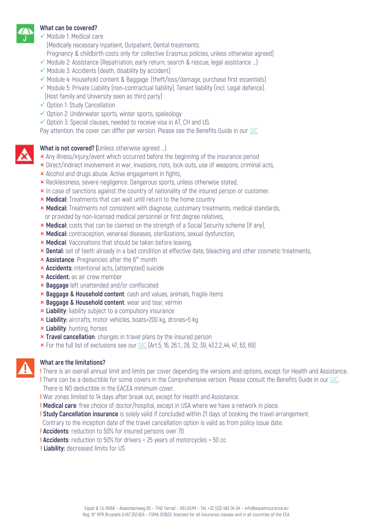#### **What can be covered?**

 $\checkmark$  Module 1: Medical care

(Medically necessary Inpatient, Outpatient, Dental treatments.

- Pregnancy & childbirth costs only for collective Erasmus policies, unless otherwise agreed)
- $\checkmark$  Module 2: Assistance (Repatriation, early return, search & rescue, legal assistance ...)
- $\checkmark$  Module 3: Accidents (death, disability by accident)
- $\checkmark$  Module 4: Household content & Baggage: (theft/loss/damage, purchase first essentials)
- $\checkmark$  Module 5: Private Liability (non-contractual liability), Tenant liability (incl. Legal defence). (Host family and University seen as third party)
- $\checkmark$  Option 1: Study Cancellation
- $\checkmark$  Option 2: Underwater sports, winter sports, speleology
- $\checkmark$  Option 3: Special clauses, needed to receive visa in AT, CH and US.

Pay attention: the cover can differ per version. Please see the Benefits Guide in our GIC

**What is not covered? (**Unless otherwise agreed …)

- **x** Any illness/injury/event which occurred before the beginning of the insurance period
- **x** Direct/indirect involvement in war, invasions, riots, lock-outs, use of weapons, criminal acts,
- **x** Alcohol and drugs abuse. Active engagement in fights,
- **x** Recklessness, severe negligence. Dangerous sports, unless otherwise stated,
- **x** In case of sanctions against the country of nationality of the insured person or customer.
- **× Medical:** Treatments that can wait until return to the home country
- **× Medical:** Treatments not consistent with diagnose, customary treatments, medical standards, or provided by non-licensed medical personnel or first degree relatives,
- **x Medical:** costs that can be claimed on the strength of a Social Security scheme (if any),
- **× Medical:** contraception, venereal diseases, sterilizations, sexual dysfunction,
- **x Medical:** Vaccinations that should be taken before leaving,
- **x Dental:** set of teeth already in a bad condition at effective date, bleaching and other cosmetic treatments,
- **x Assistance**: Pregnancies after the 6<sup>th</sup> month
- **× Accidents:** intentional acts, (attempted) suicide
- **x Accident:** as air crew member
- O **Baggage** left unattended and/or confiscated
- **x Baggage & Household content**: cash and values, animals, fragile items
- **x Baggage & Household content:** wear and tear, vermin
- **x Liability**: liability subject to a compulsory insurance
- **x Liability:** aircrafts, motor vehicles, boats>200 kg, drones>5 kg
- **k** Liability: hunting, horses
- **x Travel cancellation**: changes in travel plans by the insured person
- $\times$  For the full list of exclusions see our GIC (Art.5, 16, 26.1., 28, 32, 39, 43.2.2., 44, 47, 63, 69)



#### **What are the limitations?**

**!** There is an overall annual limit and limits per cover depending the versions and options, except for Health and Assistance. **!** There can be a deductible for some covers in the Comprehensive version. Please consult the Benefits Guide in our GIC. There is NO deductible in the EACEA minimum cover.

**!** War zones limited to 14 days after break out, except for Health and Assistance.

- **! Medical care**: free choice of doctor/hospital, except in USA where we have a network in place.
- **! Study Cancellation insurance** is solely valid if concluded within 21 days of booking the travel arrangement.

Contrary to the inception date of the travel cancellation option is valid as from policy issue date.

- **! Accidents**: reduction to 50% for insured persons over 70
- **! Accidents**: reduction to 50% for drivers < 25 years of motorcycles > 50 cc
- **! Liability:** decreased limits for US